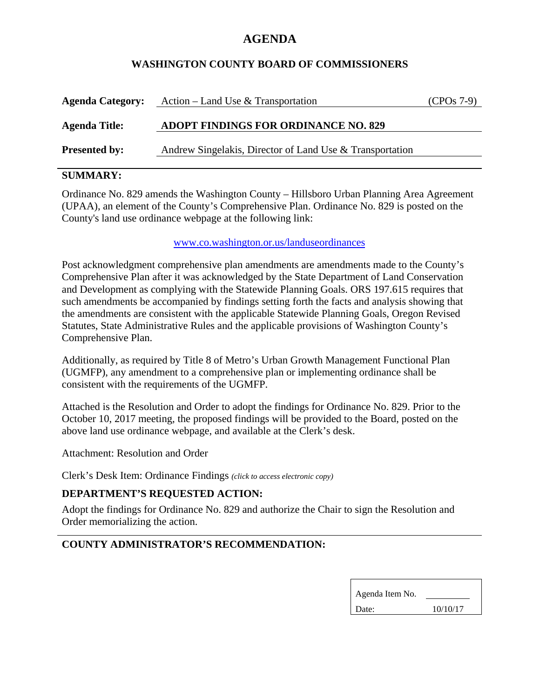# **AGENDA**

### **WASHINGTON COUNTY BOARD OF COMMISSIONERS**

| <b>Agenda Category:</b>                                                          | Action – Land Use & Transportation          | $(CPOs 7-9)$ |
|----------------------------------------------------------------------------------|---------------------------------------------|--------------|
| <b>Agenda Title:</b>                                                             | <b>ADOPT FINDINGS FOR ORDINANCE NO. 829</b> |              |
| Andrew Singelakis, Director of Land Use & Transportation<br><b>Presented by:</b> |                                             |              |

## **SUMMARY:**

Ordinance No. 829 amends the Washington County – Hillsboro Urban Planning Area Agreement (UPAA), an element of the County's Comprehensive Plan. Ordinance No. 829 is posted on the County's land use ordinance webpage at the following link:

#### www.co.washington.or.us/landuseordinances

Post acknowledgment comprehensive plan amendments are amendments made to the County's Comprehensive Plan after it was acknowledged by the State Department of Land Conservation and Development as complying with the Statewide Planning Goals. ORS 197.615 requires that such amendments be accompanied by findings setting forth the facts and analysis showing that the amendments are consistent with the applicable Statewide Planning Goals, Oregon Revised Statutes, State Administrative Rules and the applicable provisions of Washington County's Comprehensive Plan.

Additionally, as required by Title 8 of Metro's Urban Growth Management Functional Plan (UGMFP), any amendment to a comprehensive plan or implementing ordinance shall be consistent with the requirements of the UGMFP.

Attached is the Resolution and Order to adopt the findings for Ordinance No. 829. Prior to the October 10, 2017 meeting, the proposed findings will be provided to the Board, posted on the above land use ordinance webpage, and available at the Clerk's desk.

Attachment: Resolution and Order

Clerk's Desk Item: Ordinance Findings *(click to access electronic copy)*

## **DEPARTMENT'S REQUESTED ACTION:**

Adopt the findings for Ordinance No. 829 and authorize the Chair to sign the Resolution and Order memorializing the action.

## **COUNTY ADMINISTRATOR'S RECOMMENDATION:**

| Agenda Item No. |          |
|-----------------|----------|
| Date:           | 10/10/17 |